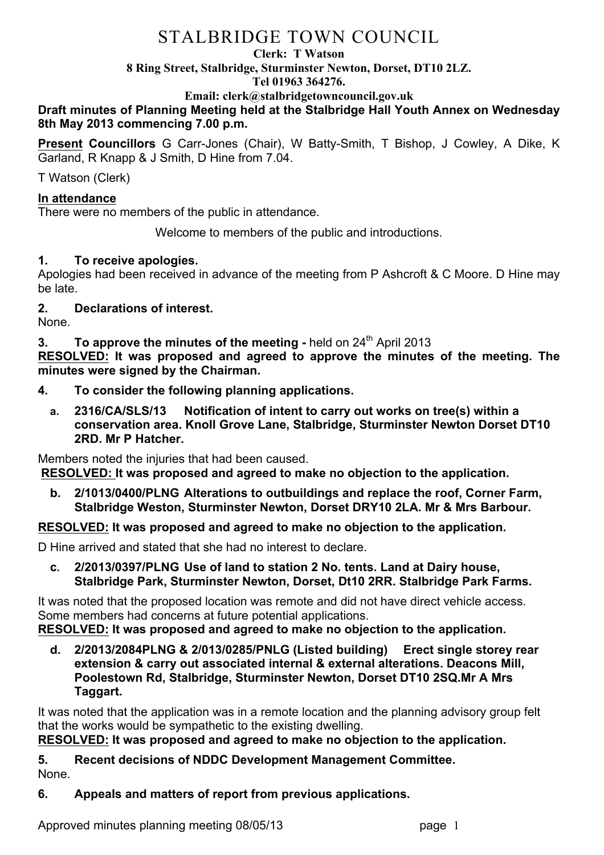# STALBRIDGE TOWN COUNCIL

#### **Clerk: T Watson**

**8 Ring Street, Stalbridge, Sturminster Newton, Dorset, DT10 2LZ.**

#### **Tel 01963 364276.**

**Email: clerk@stalbridgetowncouncil.gov.uk**

### **Draft minutes of Planning Meeting held at the Stalbridge Hall Youth Annex on Wednesday 8th May 2013 commencing 7.00 p.m.**

**Present Councillors** G Carr-Jones (Chair), W Batty-Smith, T Bishop, J Cowley, A Dike, K Garland, R Knapp & J Smith, D Hine from 7.04.

T Watson (Clerk)

### **In attendance**

There were no members of the public in attendance.

Welcome to members of the public and introductions.

### **1. To receive apologies.**

Apologies had been received in advance of the meeting from P Ashcroft & C Moore. D Hine may be late.

## **2. Declarations of interest.**

None.

**3. To approve the minutes of the meeting -** held on 24<sup>th</sup> April 2013

**RESOLVED: It was proposed and agreed to approve the minutes of the meeting. The minutes were signed by the Chairman.**

- **4. To consider the following planning applications.**
	- **a. 2316/CA/SLS/13 Notification of intent to carry out works on tree(s) within a conservation area. Knoll Grove Lane, Stalbridge, Sturminster Newton Dorset DT10 2RD. Mr P Hatcher.**

Members noted the injuries that had been caused.

**RESOLVED: It was proposed and agreed to make no objection to the application.**

**b. 2/1013/0400/PLNG Alterations to outbuildings and replace the roof, Corner Farm, Stalbridge Weston, Sturminster Newton, Dorset DRY10 2LA. Mr & Mrs Barbour.**

**RESOLVED: It was proposed and agreed to make no objection to the application.**

D Hine arrived and stated that she had no interest to declare.

**c. 2/2013/0397/PLNG Use of land to station 2 No. tents. Land at Dairy house, Stalbridge Park, Sturminster Newton, Dorset, Dt10 2RR. Stalbridge Park Farms.**

It was noted that the proposed location was remote and did not have direct vehicle access. Some members had concerns at future potential applications.

**RESOLVED: It was proposed and agreed to make no objection to the application.**

**d. 2/2013/2084PLNG & 2/013/0285/PNLG (Listed building) Erect single storey rear extension & carry out associated internal & external alterations. Deacons Mill, Poolestown Rd, Stalbridge, Sturminster Newton, Dorset DT10 2SQ.Mr A Mrs Taggart.**

It was noted that the application was in a remote location and the planning advisory group felt that the works would be sympathetic to the existing dwelling.

**RESOLVED: It was proposed and agreed to make no objection to the application.**

**5. Recent decisions of NDDC Development Management Committee.** None.

### **6. Appeals and matters of report from previous applications.**

Approved minutes planning meeting 08/05/13 https://www.page 1